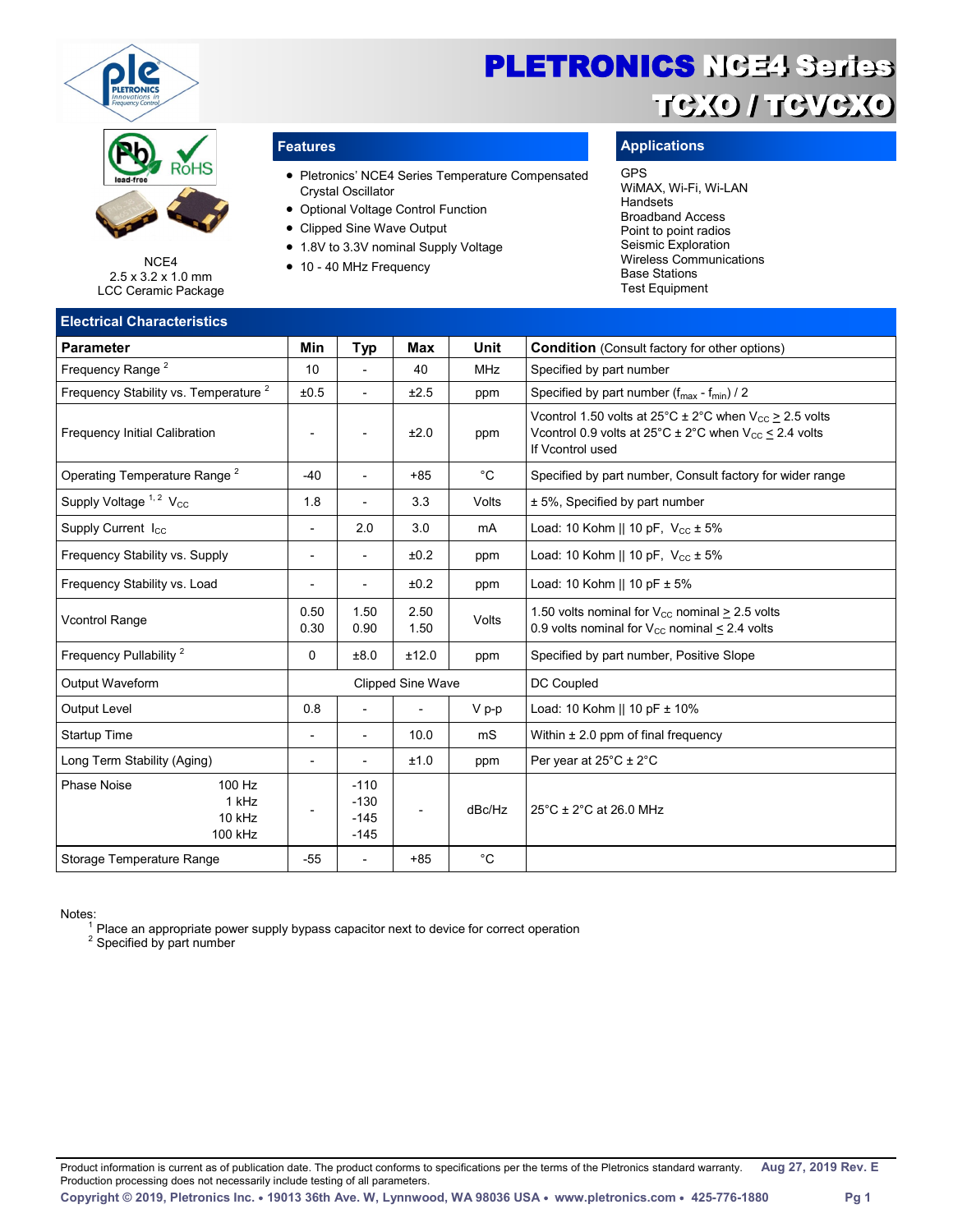

# RóHS

NCE4 2.5 x 3.2 x 1.0 mm LCC Ceramic Package

### **Flectrical Characteristic**

- Pletronics' NCE4 Series Temperature Compensated Crystal Oscillator
- Optional Voltage Control Function
- Clipped Sine Wave Output
- 1.8V to 3.3V nominal Supply Voltage
- 10 40 MHz Frequency

### **Features Applications**

### GPS

WiMAX, Wi-Fi, Wi-LAN **Handsets** Broadband Access Point to point radios Seismic Exploration Wireless Communications Base Stations Test Equipment

| Liccu icai Unaracteristics                                 |                          |                                      |                          |             |                                                                                                                                                                                       |
|------------------------------------------------------------|--------------------------|--------------------------------------|--------------------------|-------------|---------------------------------------------------------------------------------------------------------------------------------------------------------------------------------------|
| <b>Parameter</b>                                           | Min                      | <b>Typ</b>                           | Max                      | Unit        | <b>Condition</b> (Consult factory for other options)                                                                                                                                  |
| Frequency Range <sup>2</sup>                               | 10                       |                                      | 40                       | <b>MHz</b>  | Specified by part number                                                                                                                                                              |
| Frequency Stability vs. Temperature <sup>2</sup>           | ±0.5                     | $\overline{a}$                       | ±2.5                     | ppm         | Specified by part number (f <sub>max</sub> - f <sub>min</sub> ) / 2                                                                                                                   |
| <b>Frequency Initial Calibration</b>                       | $\overline{\phantom{a}}$ |                                      | ±2.0                     | ppm         | V control 1.50 volts at $25^{\circ}$ C $\pm$ 2°C when V <sub>cc</sub> > 2.5 volts<br>V control 0.9 volts at $25^{\circ}$ C ± 2°C when V <sub>cc</sub> < 2.4 volts<br>If Vcontrol used |
| Operating Temperature Range <sup>2</sup>                   | $-40$                    | $\overline{\phantom{a}}$             | $+85$                    | $^{\circ}C$ | Specified by part number, Consult factory for wider range                                                                                                                             |
| Supply Voltage <sup>1,2</sup> V <sub>cc</sub>              | 1.8                      |                                      | 3.3                      | Volts       | ± 5%, Specified by part number                                                                                                                                                        |
| Supply Current $I_{CC}$                                    | $\overline{\phantom{a}}$ | 2.0                                  | 3.0                      | mA          | Load: 10 Kohm    10 pF, $V_{cc} \pm 5\%$                                                                                                                                              |
| Frequency Stability vs. Supply                             | $\overline{\phantom{a}}$ | $\overline{\phantom{a}}$             | ±0.2                     | ppm         | Load: 10 Kohm    10 pF, $V_{\text{cc}} \pm 5\%$                                                                                                                                       |
| Frequency Stability vs. Load                               | $\overline{\phantom{a}}$ | $\overline{\phantom{a}}$             | ±0.2                     | ppm         | Load: 10 Kohm    10 pF $\pm$ 5%                                                                                                                                                       |
| <b>Vcontrol Range</b>                                      | 0.50<br>0.30             | 1.50<br>0.90                         | 2.50<br>1.50             | Volts       | 1.50 volts nominal for $V_{\text{cc}}$ nominal > 2.5 volts<br>0.9 volts nominal for $V_{CC}$ nominal $\leq$ 2.4 volts                                                                 |
| Frequency Pullability <sup>2</sup>                         | 0                        | ±8.0                                 | ±12.0                    | ppm         | Specified by part number, Positive Slope                                                                                                                                              |
| Output Waveform                                            |                          |                                      | Clipped Sine Wave        |             | DC Coupled                                                                                                                                                                            |
| <b>Output Level</b>                                        | 0.8                      |                                      |                          | $V p-p$     | Load: 10 Kohm    10 pF ± 10%                                                                                                                                                          |
| Startup Time                                               | $\overline{\phantom{a}}$ | $\overline{a}$                       | 10.0                     | mS          | Within $\pm 2.0$ ppm of final frequency                                                                                                                                               |
| Long Term Stability (Aging)                                | $\overline{\phantom{a}}$ |                                      | ±1.0                     | ppm         | Per year at $25^{\circ}$ C $\pm$ 2°C                                                                                                                                                  |
| <b>Phase Noise</b><br>100 Hz<br>1 kHz<br>10 kHz<br>100 kHz | $\overline{\phantom{a}}$ | $-110$<br>$-130$<br>$-145$<br>$-145$ | $\overline{\phantom{a}}$ | dBc/Hz      | $25^{\circ}$ C ± 2 $^{\circ}$ C at 26.0 MHz                                                                                                                                           |
| Storage Temperature Range                                  | $-55$                    | $\overline{a}$                       | $+85$                    | $^{\circ}C$ |                                                                                                                                                                                       |

Notes: <sup>1</sup> Place an appropriate power supply bypass capacitor next to device for correct operation

<sup>2</sup> Specified by part number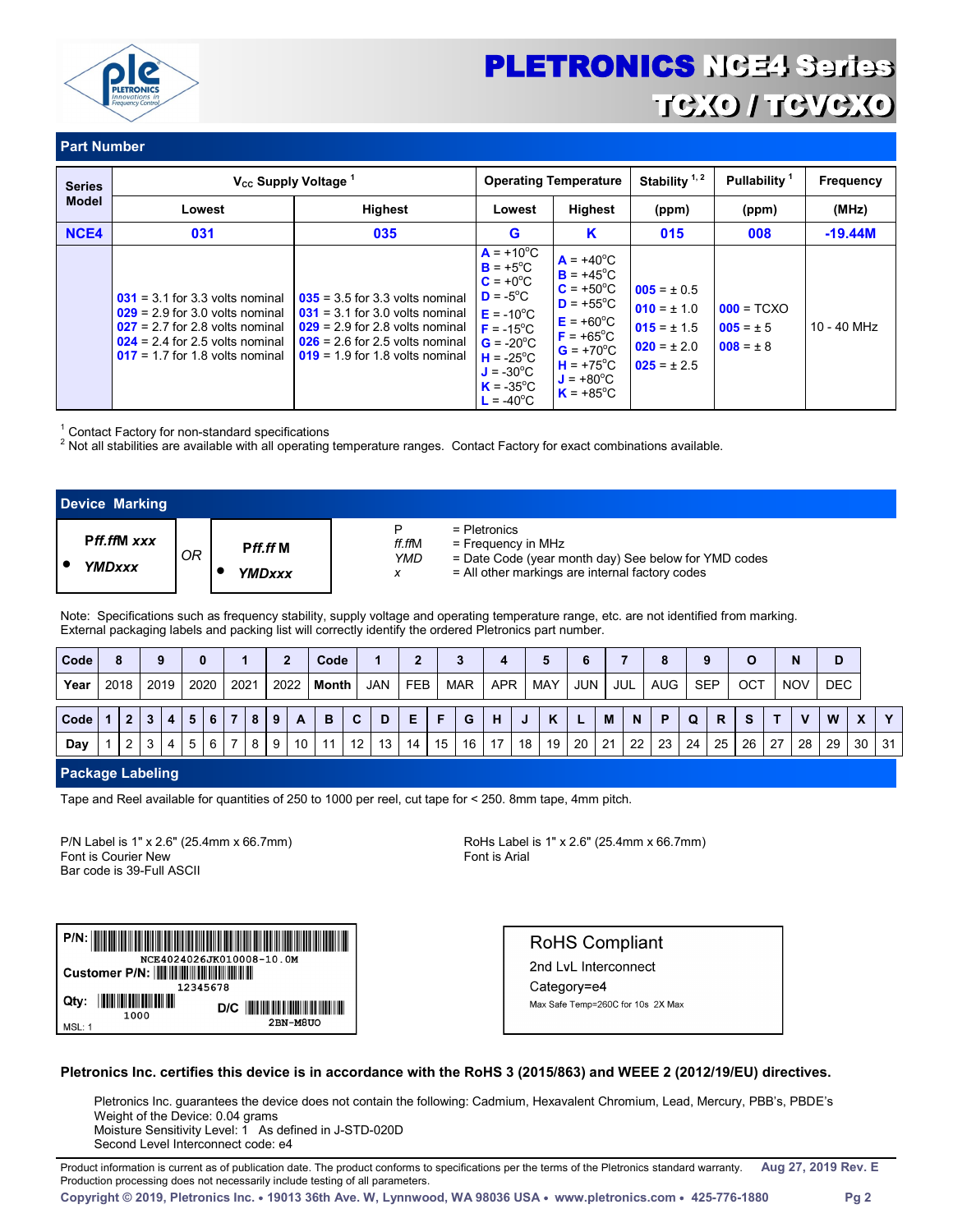

### **Part Number**

| <b>Series</b> |                                                                                                                                                                                       | V <sub>cc</sub> Supply Voltage <sup>1</sup>                                                                                                                                            |                                                                                                                                                                                                                                             | <b>Operating Temperature</b>                                                                                                                                                                                             | Stability $1, 2$                                                                            | Pullability <sup>1</sup>                       | <b>Frequency</b> |  |
|---------------|---------------------------------------------------------------------------------------------------------------------------------------------------------------------------------------|----------------------------------------------------------------------------------------------------------------------------------------------------------------------------------------|---------------------------------------------------------------------------------------------------------------------------------------------------------------------------------------------------------------------------------------------|--------------------------------------------------------------------------------------------------------------------------------------------------------------------------------------------------------------------------|---------------------------------------------------------------------------------------------|------------------------------------------------|------------------|--|
| <b>Model</b>  | Lowest                                                                                                                                                                                | <b>Highest</b>                                                                                                                                                                         | Lowest                                                                                                                                                                                                                                      | <b>Highest</b>                                                                                                                                                                                                           | (ppm)                                                                                       | (ppm)                                          | (MHz)            |  |
| NCE4          | 031                                                                                                                                                                                   | 035                                                                                                                                                                                    | G                                                                                                                                                                                                                                           | K                                                                                                                                                                                                                        | 015                                                                                         | 008                                            | $-19.44M$        |  |
|               | $031 = 3.1$ for 3.3 volts nominal<br>$029 = 2.9$ for 3.0 volts nominal<br>$027 = 2.7$ for 2.8 volts nominal<br>$024 = 2.4$ for 2.5 volts nominal<br>$017 = 1.7$ for 1.8 volts nominal | $0.35 = 3.5$ for 3.3 volts nominal<br>$031 = 3.1$ for 3.0 volts nominal<br>$029 = 2.9$ for 2.8 volts nominal<br>$026 = 2.6$ for 2.5 volts nominal<br>$019 = 1.9$ for 1.8 volts nominal | $A = +10^{\circ}C$<br>$B = +5^{\circ}C$<br>$C = +0^{\circ}C$<br>$D = -5^{\circ}C$<br>$E = -10^{\circ}C$<br>$F = -15^{\circ}C$<br>$G = -20^{\circ}C$<br>$H = -25^{\circ}C$<br>$J = -30^{\circ}C$<br>$K = -35^{\circ}C$<br>$L = -40^{\circ}C$ | $A = +40^{\circ}C$<br>$B = +45^{\circ}C$<br>$C = +50^{\circ}C$<br>$D = +55^{\circ}C$<br>$E = +60^{\circ}C$<br>$F = +65^{\circ}C$<br>$G = +70^{\circ}C$<br>$H = +75^{\circ}C$<br>$J = +80^{\circ}C$<br>$K = +85^{\circ}C$ | $005 = \pm 0.5$<br>$010 = \pm 1.0$<br>$015 = \pm 1.5$<br>$020 = \pm 2.0$<br>$025 = \pm 2.5$ | $000 = TCXO$<br>$005 = \pm 5$<br>$008 = \pm 8$ | 10 - 40 MHz      |  |

<sup>1</sup> Contact Factory for non-standard specifications

 $2$  Not all stabilities are available with all operating temperature ranges. Contact Factory for exact combinations available.

| <b>Device Marking</b>        |    |                    |                                                                                                                                                                         |
|------------------------------|----|--------------------|-------------------------------------------------------------------------------------------------------------------------------------------------------------------------|
| <b>Pff.ffM</b> xxx<br>YMDxxx | OR | Pff.ff M<br>YMDxxx | $=$ Pletronics<br>P<br>ff.ffM<br>$=$ Frequency in MHz<br>= Date Code (year month day) See below for YMD codes<br>YMD<br>= All other markings are internal factory codes |

Note: Specifications such as frequency stability, supply voltage and operating temperature range, etc. are not identified from marking. External packaging labels and packing list will correctly identify the ordered Pletronics part number.

| <b>Code</b> | 8            | 9    |      |      |   |      |    | Code  |    |            |            |    |            |            |    |     | 6          |    |             |                 |            |    |     |    |              |            |                           |              |
|-------------|--------------|------|------|------|---|------|----|-------|----|------------|------------|----|------------|------------|----|-----|------------|----|-------------|-----------------|------------|----|-----|----|--------------|------------|---------------------------|--------------|
| Year        | 2018         | 2019 | 2020 | 2021 |   | 2022 |    | Month |    | <b>JAN</b> | <b>FEB</b> |    | <b>MAR</b> | <b>APR</b> |    | MAY | <b>JUN</b> |    | JUL         | AUG             | <b>SEP</b> |    | OCT |    | <b>NOV</b>   | <b>DEC</b> |                           |              |
| Code        | $\mathbf{2}$ |      |      |      | 8 |      | A  | B     | C  | D          | Е          |    | G          | Н          | J  | K   |            | M  | $\mathbf N$ | P               | Q          | R  | S   |    | $\mathbf{v}$ | W          | $\boldsymbol{\mathsf{x}}$ | $\mathbf{v}$ |
| Dav         | 2            |      |      |      | 8 | 9    | 10 | $-11$ | 12 | 13         | 14         | 15 | 16         | 17         | 18 | 19  | 20         | 21 | 22          | 23 <sup>1</sup> | 24         | 25 | 26  | 27 | 28           | 29         | 30 <sup>1</sup>           | 31           |

### **Package Labeling**

Tape and Reel available for quantities of 250 to 1000 per reel, cut tape for < 250. 8mm tape, 4mm pitch.

P/N Label is 1" x 2.6" (25.4mm x 66.7mm) RoHs Label is 1" x 2.6" (25.4mm x 66.7mm) Font is Courier New Font is Arial Bar code is 39-Full ASCII



**RoHS Compliant** 2nd LvL Interconnect Category=e4 Max Safe Temp=260C for 10s 2X Max

### **Pletronics Inc. certifies this device is in accordance with the RoHS 3 (2015/863) and WEEE 2 (2012/19/EU) directives.**

Pletronics Inc. guarantees the device does not contain the following: Cadmium, Hexavalent Chromium, Lead, Mercury, PBB's, PBDE's Weight of the Device: 0.04 grams Moisture Sensitivity Level: 1 As defined in J-STD-020D Second Level Interconnect code: e4

Product information is current as of publication date. The product conforms to specifications per the terms of the Pletronics standard warranty. **Aug 27, 2019 Rev. E**  Production processing does not necessarily include testing of all parameters.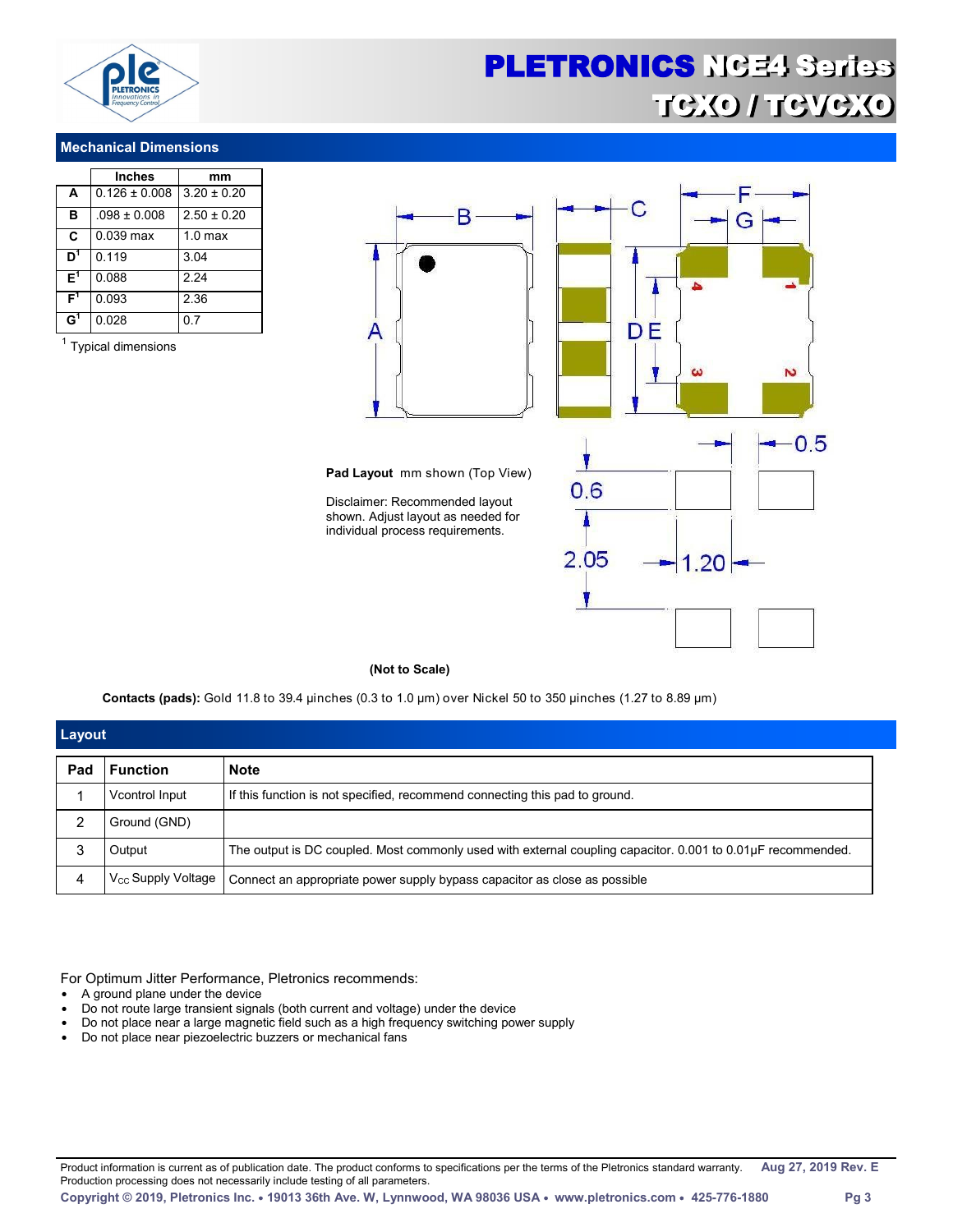

### **Mechanical Dimensions**

|                | <b>Inches</b>     | mm                 |  |  |  |  |
|----------------|-------------------|--------------------|--|--|--|--|
| A              | $0.126 \pm 0.008$ | $3.20 \pm 0.20$    |  |  |  |  |
| в              | $.098 \pm 0.008$  | $2.50 \pm 0.20$    |  |  |  |  |
| C              | 0.039 max         | 1.0 <sub>max</sub> |  |  |  |  |
| D <sup>1</sup> | 0.119             | 3.04               |  |  |  |  |
| F <sup>1</sup> | 0.088             | 2.24               |  |  |  |  |
| F1             | 0.093             | 2.36               |  |  |  |  |
| $\mathbf{G}^1$ | 0.028             | 0.7                |  |  |  |  |

<sup>1</sup> Typical dimensions



#### **(Not to Scale)**

**Contacts (pads):** Gold 11.8 to 39.4 µinches (0.3 to 1.0 µm) over Nickel 50 to 350 µinches (1.27 to 8.89 µm)

| Layout |                         |                                                                                                             |
|--------|-------------------------|-------------------------------------------------------------------------------------------------------------|
| Pad    | <b>Function</b>         | <b>Note</b>                                                                                                 |
|        | Vcontrol Input          | If this function is not specified, recommend connecting this pad to ground.                                 |
|        | Ground (GND)            |                                                                                                             |
|        | Output                  | The output is DC coupled. Most commonly used with external coupling capacitor. 0.001 to 0.01µF recommended. |
|        | $V_{CC}$ Supply Voltage | Connect an appropriate power supply bypass capacitor as close as possible                                   |

For Optimum Jitter Performance, Pletronics recommends:

- A ground plane under the device
- Do not route large transient signals (both current and voltage) under the device
- Do not place near a large magnetic field such as a high frequency switching power supply
- Do not place near piezoelectric buzzers or mechanical fans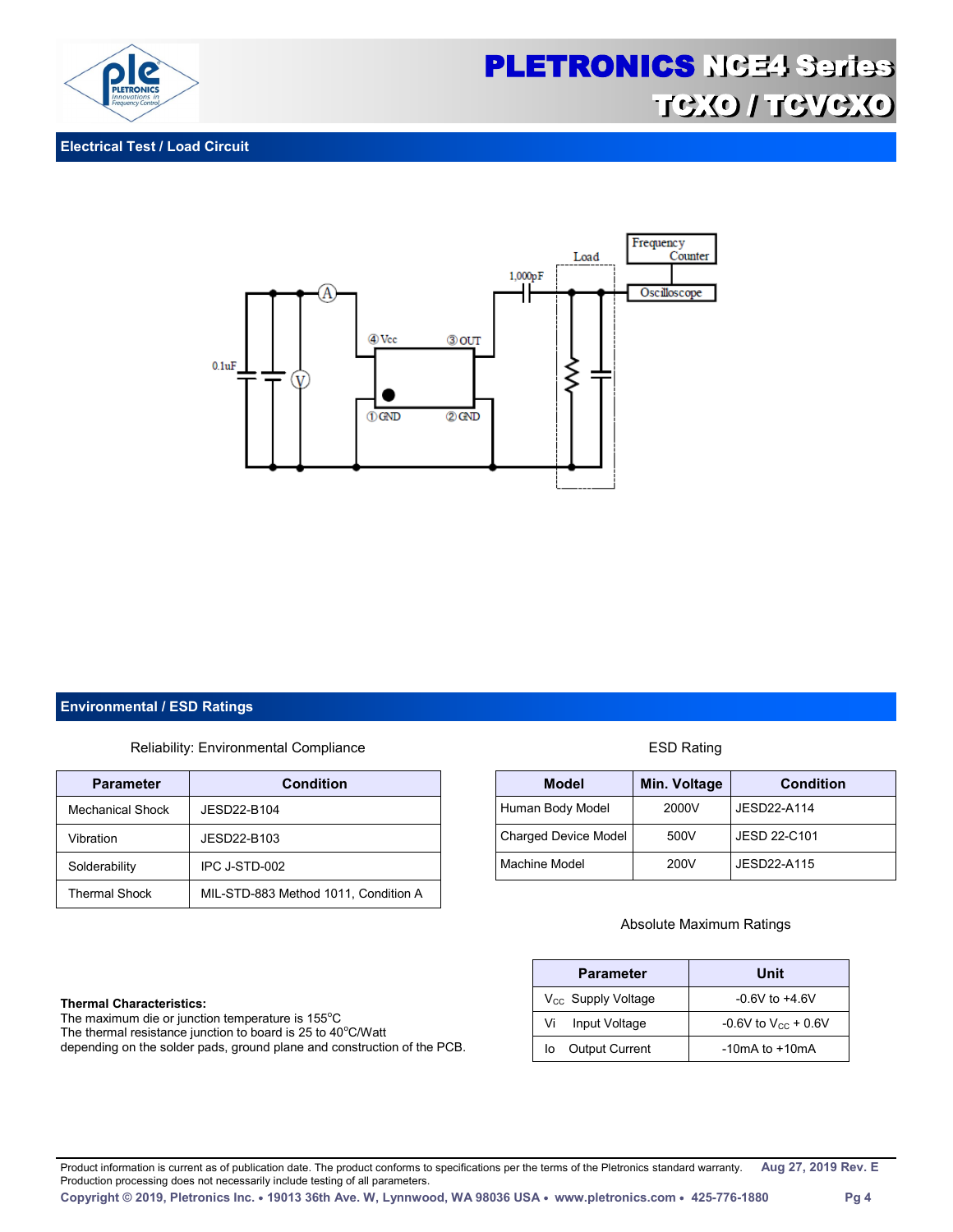

### **Electrical Test / Load Circuit**



### **Environmental / ESD Ratings**

### Reliability: Environmental Compliance **ESD Rating** ESD Rating

| <b>Parameter</b>        | <b>Condition</b>                     |
|-------------------------|--------------------------------------|
| <b>Mechanical Shock</b> | JESD22-B104                          |
| Vibration               | JESD22-B103                          |
| Solderability           | IPC J-STD-002                        |
| <b>Thermal Shock</b>    | MIL-STD-883 Method 1011, Condition A |

### **Thermal Characteristics:**

The maximum die or junction temperature is 155°C The thermal resistance junction to board is 25 to  $40^{\circ}$ C/Watt depending on the solder pads, ground plane and construction of the PCB.

| <b>Model</b>                | Min. Voltage | <b>Condition</b> |  |  |  |  |
|-----------------------------|--------------|------------------|--|--|--|--|
| Human Body Model            | 2000V        | JESD22-A114      |  |  |  |  |
| <b>Charged Device Model</b> | 500V         | JESD 22-C101     |  |  |  |  |
| Machine Model               | 200V         | JESD22-A115      |  |  |  |  |

### Absolute Maximum Ratings

| <b>Parameter</b>        | Unit                       |
|-------------------------|----------------------------|
| $V_{CC}$ Supply Voltage | $-0.6V$ to $+4.6V$         |
| Input Voltage<br>Vi     | $-0.6V$ to $V_{CC}$ + 0.6V |
| Output Current<br>lo    | $-10mA$ to $+10mA$         |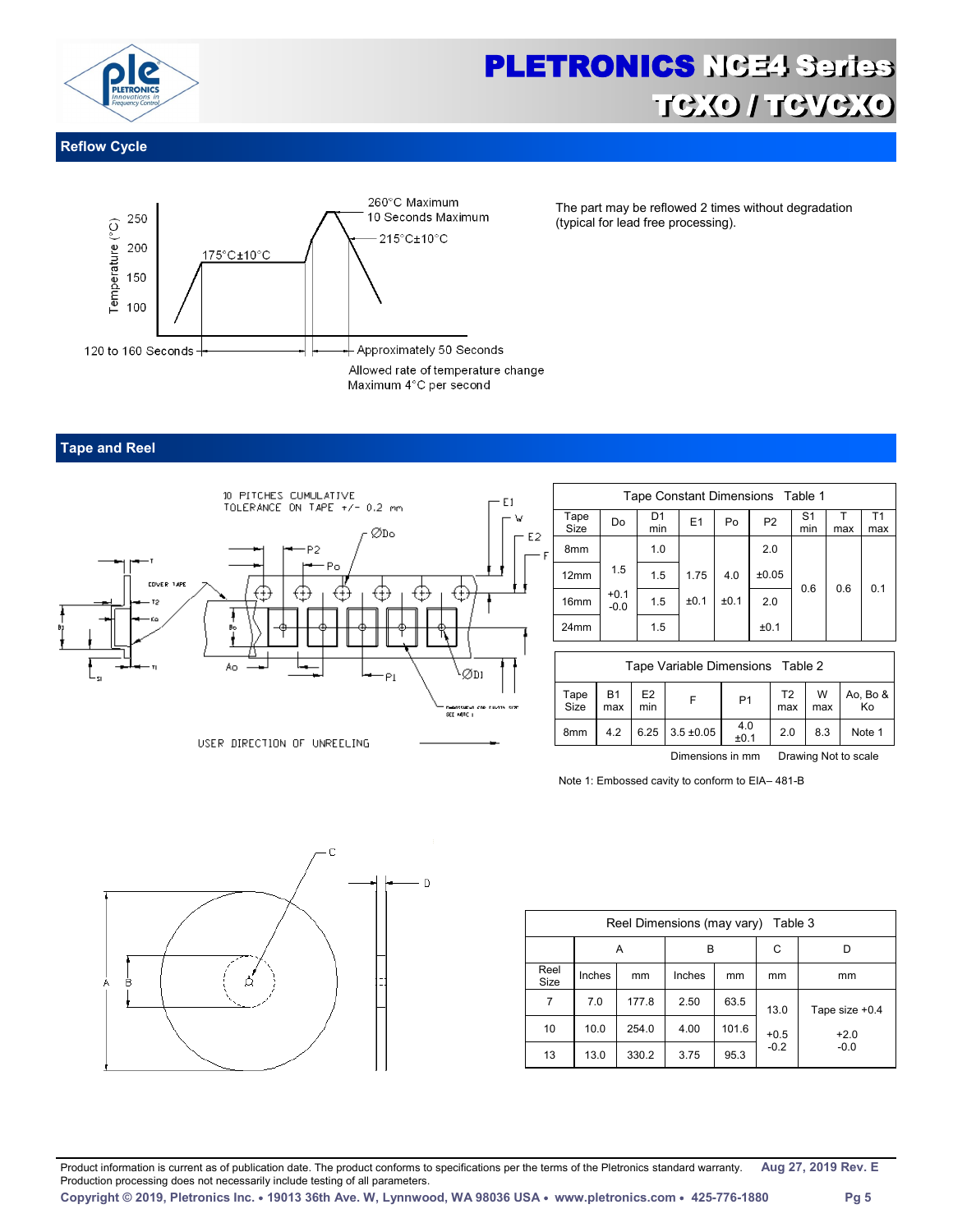

### **Reflow Cycle**



The part may be reflowed 2 times without degradation (typical for lead free processing).

### **Tape and Reel**



| Tape Constant Dimensions Table 1 |                  |           |      |      |                |                       |     |                       |  |  |  |
|----------------------------------|------------------|-----------|------|------|----------------|-----------------------|-----|-----------------------|--|--|--|
| Tape<br><b>Size</b>              | Do               | D1<br>min | E1   | Po   | P <sub>2</sub> | S <sub>1</sub><br>min | max | T <sub>1</sub><br>max |  |  |  |
| 8mm                              |                  | 1.0       |      |      | 2.0            |                       |     |                       |  |  |  |
| 12mm                             | 1.5              | 1.5       | 1.75 | 4.0  | ±0.05          |                       |     | 0.1                   |  |  |  |
| 16 <sub>mm</sub>                 | $+0.1$<br>$-0.0$ | 1.5       | ±0.1 | ±0.1 | 2.0            | 0.6                   | 0.6 |                       |  |  |  |
| 24mm                             |                  | 1.5       |      |      | ±0.1           |                       |     |                       |  |  |  |

|              | Tape Variable Dimensions Table 2                                  |                       |                  |                |           |          |                |  |  |  |  |  |
|--------------|-------------------------------------------------------------------|-----------------------|------------------|----------------|-----------|----------|----------------|--|--|--|--|--|
| Tape<br>Size | Β1<br>max                                                         | E <sub>2</sub><br>min |                  | P <sub>1</sub> | T2<br>max | W<br>max | Ao, Bo &<br>Ko |  |  |  |  |  |
| 8mm          | 4.2                                                               |                       | $6.25$ 3.5 ±0.05 | 4.0<br>±0.1    | 2.0       | 8.3      | Note 1         |  |  |  |  |  |
|              | made the Alberta country<br>material and a state of a contract of |                       |                  |                |           |          |                |  |  |  |  |  |

Dimensions in mm Drawing Not to scale

Note 1: Embossed cavity to conform to EIA– 481-B



| Reel Dimensions (may vary)<br>Table 3 |        |       |        |       |        |                |  |  |  |  |  |
|---------------------------------------|--------|-------|--------|-------|--------|----------------|--|--|--|--|--|
|                                       |        | Α     | B      |       | C      |                |  |  |  |  |  |
| Reel<br>Size                          | Inches | mm    | Inches | mm    | mm     | mm             |  |  |  |  |  |
| 7                                     | 7.0    | 177.8 | 2.50   | 63.5  | 13.0   | Tape size +0.4 |  |  |  |  |  |
| 10                                    | 10.0   | 254.0 | 4.00   | 101.6 | $+0.5$ | $+2.0$         |  |  |  |  |  |
| 13                                    | 13.0   | 330.2 | 3.75   | 95.3  | $-0.2$ | $-0.0$         |  |  |  |  |  |

Product information is current as of publication date. The product conforms to specifications per the terms of the Pletronics standard warranty. **Aug 27, 2019 Rev. E**  Production processing does not necessarily include testing of all parameters.